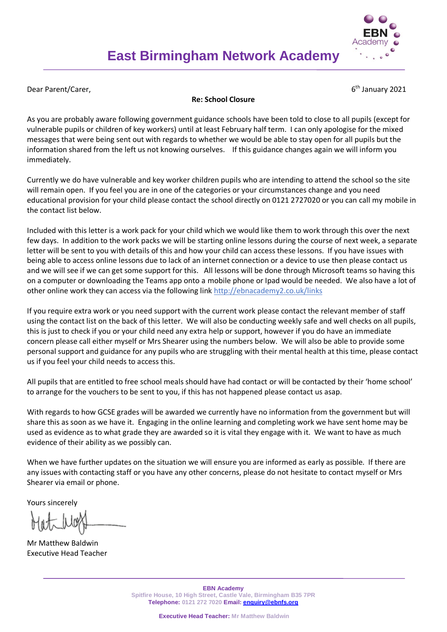

Dear Parent/Carer,

 $6<sup>th</sup>$  January 2021

## **Re: School Closure**

As you are probably aware following government guidance schools have been told to close to all pupils (except for vulnerable pupils or children of key workers) until at least February half term. I can only apologise for the mixed messages that were being sent out with regards to whether we would be able to stay open for all pupils but the information shared from the left us not knowing ourselves. If this guidance changes again we will inform you immediately.

Currently we do have vulnerable and key worker children pupils who are intending to attend the school so the site will remain open. If you feel you are in one of the categories or your circumstances change and you need educational provision for your child please contact the school directly on 0121 2727020 or you can call my mobile in the contact list below.

Included with this letter is a work pack for your child which we would like them to work through this over the next few days. In addition to the work packs we will be starting online lessons during the course of next week, a separate letter will be sent to you with details of this and how your child can access these lessons. If you have issues with being able to access online lessons due to lack of an internet connection or a device to use then please contact us and we will see if we can get some support for this. All lessons will be done through Microsoft teams so having this on a computer or downloading the Teams app onto a mobile phone or Ipad would be needed. We also have a lot of other online work they can access via the following link http://ebnacademy2.co.uk/links

If you require extra work or you need support with the current work please contact the relevant member of staff using the contact list on the back of this letter. We will also be conducting weekly safe and well checks on all pupils, this is just to check if you or your child need any extra help or support, however if you do have an immediate concern please call either myself or Mrs Shearer using the numbers below. We will also be able to provide some personal support and guidance for any pupils who are struggling with their mental health at this time, please contact us if you feel your child needs to access this.

All pupils that are entitled to free school meals should have had contact or will be contacted by their 'home school' to arrange for the vouchers to be sent to you, if this has not happened please contact us asap.

With regards to how GCSE grades will be awarded we currently have no information from the government but will share this as soon as we have it. Engaging in the online learning and completing work we have sent home may be used as evidence as to what grade they are awarded so it is vital they engage with it. We want to have as much evidence of their ability as we possibly can.

When we have further updates on the situation we will ensure you are informed as early as possible. If there are any issues with contacting staff or you have any other concerns, please do not hesitate to contact myself or Mrs Shearer via email or phone.

Yours sincerely

Mr Matthew Baldwin Executive Head Teacher